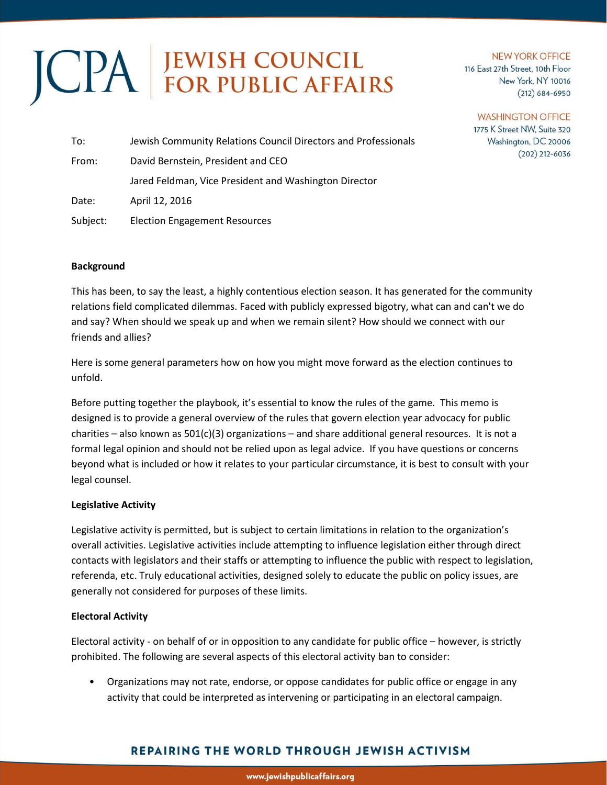# JCPA EWISH COUNCIL

#### **NEW YORK OFFICE** 116 East 27th Street, 10th Floor New York, NY 10016  $(212)$  684-6950

#### **WASHINGTON OFFICE**

1775 K Street NW, Suite 320 Washington, DC 20006  $(202)$  212-6036

| To:                                         | Jewish Community Relations Council Directors and Professionals |  |  |
|---------------------------------------------|----------------------------------------------------------------|--|--|
| David Bernstein, President and CEO<br>From: |                                                                |  |  |
|                                             | Jared Feldman, Vice President and Washington Director          |  |  |
| Date:                                       | April 12, 2016                                                 |  |  |
| Subject:                                    | <b>Election Engagement Resources</b>                           |  |  |

# **Background**

This has been, to say the least, a highly contentious election season. It has generated for the community relations field complicated dilemmas. Faced with publicly expressed bigotry, what can and can't we do and say? When should we speak up and when we remain silent? How should we connect with our friends and allies?

Here is some general parameters how on how you might move forward as the election continues to unfold.

Before putting together the playbook, it's essential to know the rules of the game. This memo is designed is to provide a general overview of the rules that govern election year advocacy for public charities – also known as  $501(c)(3)$  organizations – and share additional general resources. It is not a formal legal opinion and should not be relied upon as legal advice. If you have questions or concerns beyond what is included or how it relates to your particular circumstance, it is best to consult with your legal counsel.

#### **Legislative Activity**

Legislative activity is permitted, but is subject to certain limitations in relation to the organization's overall activities. Legislative activities include attempting to influence legislation either through direct contacts with legislators and their staffs or attempting to influence the public with respect to legislation, referenda, etc. Truly educational activities, designed solely to educate the public on policy issues, are generally not considered for purposes of these limits.

# **Electoral Activity**

Electoral activity - on behalf of or in opposition to any candidate for public office – however, is strictly prohibited. The following are several aspects of this electoral activity ban to consider:

• Organizations may not rate, endorse, or oppose candidates for public office or engage in any activity that could be interpreted as intervening or participating in an electoral campaign.

# **REPAIRING THE WORLD THROUGH JEWISH ACTIVISM**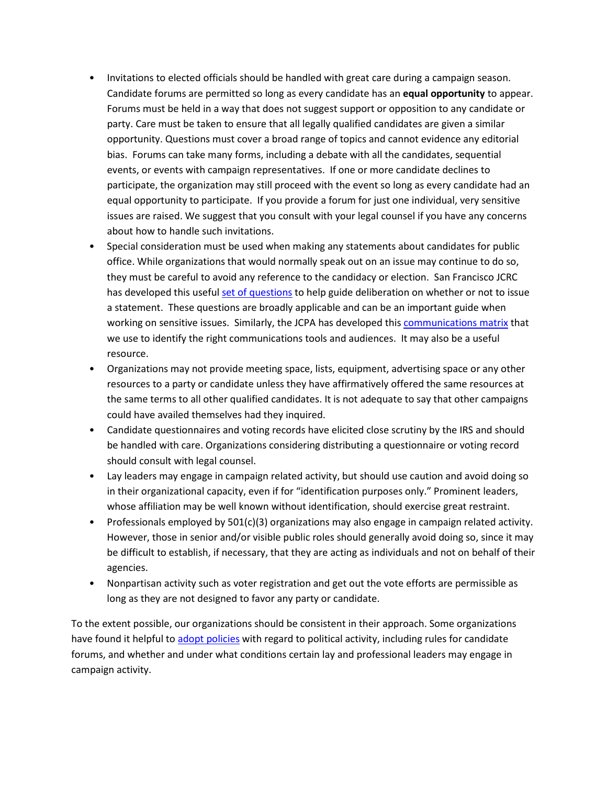- Invitations to elected officials should be handled with great care during a campaign season. Candidate forums are permitted so long as every candidate has an **equal opportunity** to appear. Forums must be held in a way that does not suggest support or opposition to any candidate or party. Care must be taken to ensure that all legally qualified candidates are given a similar opportunity. Questions must cover a broad range of topics and cannot evidence any editorial bias. Forums can take many forms, including a debate with all the candidates, sequential events, or events with campaign representatives. If one or more candidate declines to participate, the organization may still proceed with the event so long as every candidate had an equal opportunity to participate. If you provide a forum for just one individual, very sensitive issues are raised. We suggest that you consult with your legal counsel if you have any concerns about how to handle such invitations.
- Special consideration must be used when making any statements about candidates for public office. While organizations that would normally speak out on an issue may continue to do so, they must be careful to avoid any reference to the candidacy or election. San Francisco JCRC has developed this useful [set of questions](https://org2.salsalabs.com/o/5145/c/627/images/JCRC%20Statement%20Form.doc) to help guide deliberation on whether or not to issue a statement. These questions are broadly applicable and can be an important guide when working on sensitive issues. Similarly, the JCPA has developed this [communications matrix](https://org2.salsalabs.com/o/5145/c/627/images/Communications%20Matrix-1.xlsx) that we use to identify the right communications tools and audiences. It may also be a useful resource.
- Organizations may not provide meeting space, lists, equipment, advertising space or any other resources to a party or candidate unless they have affirmatively offered the same resources at the same terms to all other qualified candidates. It is not adequate to say that other campaigns could have availed themselves had they inquired.
- Candidate questionnaires and voting records have elicited close scrutiny by the IRS and should be handled with care. Organizations considering distributing a questionnaire or voting record should consult with legal counsel.
- Lay leaders may engage in campaign related activity, but should use caution and avoid doing so in their organizational capacity, even if for "identification purposes only." Prominent leaders, whose affiliation may be well known without identification, should exercise great restraint.
- Professionals employed by 501(c)(3) organizations may also engage in campaign related activity. However, those in senior and/or visible public roles should generally avoid doing so, since it may be difficult to establish, if necessary, that they are acting as individuals and not on behalf of their agencies.
- Nonpartisan activity such as voter registration and get out the vote efforts are permissible as long as they are not designed to favor any party or candidate.

To the extent possible, our organizations should be consistent in their approach. Some organizations have found it helpful to [adopt policies](http://bolderadvocacy.org/wp-content/uploads/2014/07/Sample_501c3_Policy_for_Election_Season.pdf) with regard to political activity, including rules for candidate forums, and whether and under what conditions certain lay and professional leaders may engage in campaign activity.